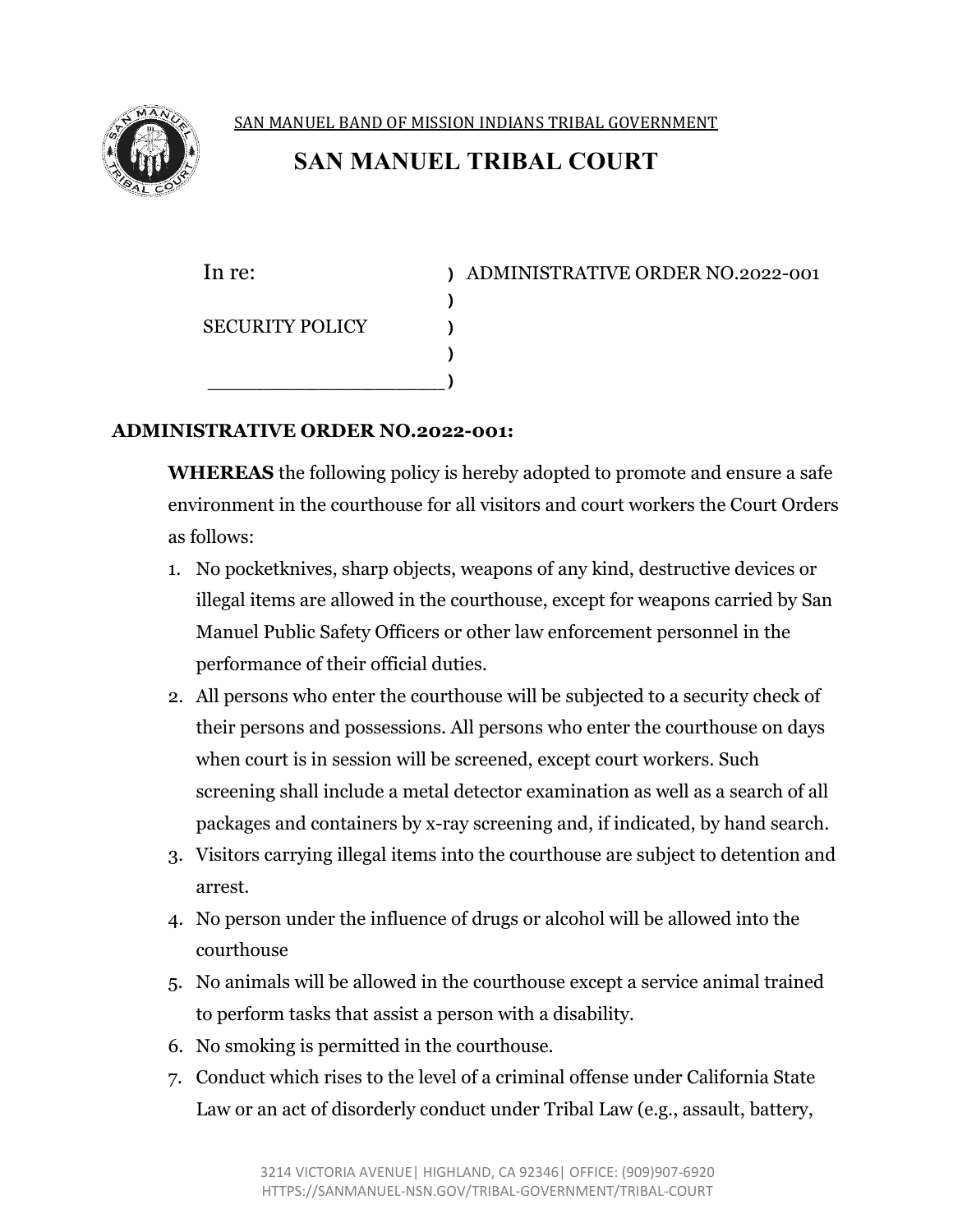

SAN MANUEL BAND OF MISSION INDIANS TRIBAL GOVERNMENT

## **SAN MANUEL TRIBAL COURT**

**)** SECURITY POLICY **) ) \_\_\_\_\_\_\_\_\_\_\_\_\_\_\_\_\_\_\_\_\_\_\_\_\_\_\_\_\_\_\_\_\_\_ )**

In re: **)** ADMINISTRATIVE ORDER NO.2022-001

## **ADMINISTRATIVE ORDER NO.2022-001:**

**WHEREAS** the following policy is hereby adopted to promote and ensure a safe environment in the courthouse for all visitors and court workers the Court Orders as follows:

- 1. No pocketknives, sharp objects, weapons of any kind, destructive devices or illegal items are allowed in the courthouse, except for weapons carried by San Manuel Public Safety Officers or other law enforcement personnel in the performance of their official duties.
- 2. All persons who enter the courthouse will be subjected to a security check of their persons and possessions. All persons who enter the courthouse on days when court is in session will be screened, except court workers. Such screening shall include a metal detector examination as well as a search of all packages and containers by x-ray screening and, if indicated, by hand search.
- 3. Visitors carrying illegal items into the courthouse are subject to detention and arrest.
- 4. No person under the influence of drugs or alcohol will be allowed into the courthouse
- 5. No animals will be allowed in the courthouse except a service animal trained to perform tasks that assist a person with a disability.
- 6. No smoking is permitted in the courthouse.
- 7. Conduct which rises to the level of a criminal offense under California State Law or an act of disorderly conduct under Tribal Law (e.g., assault, battery,